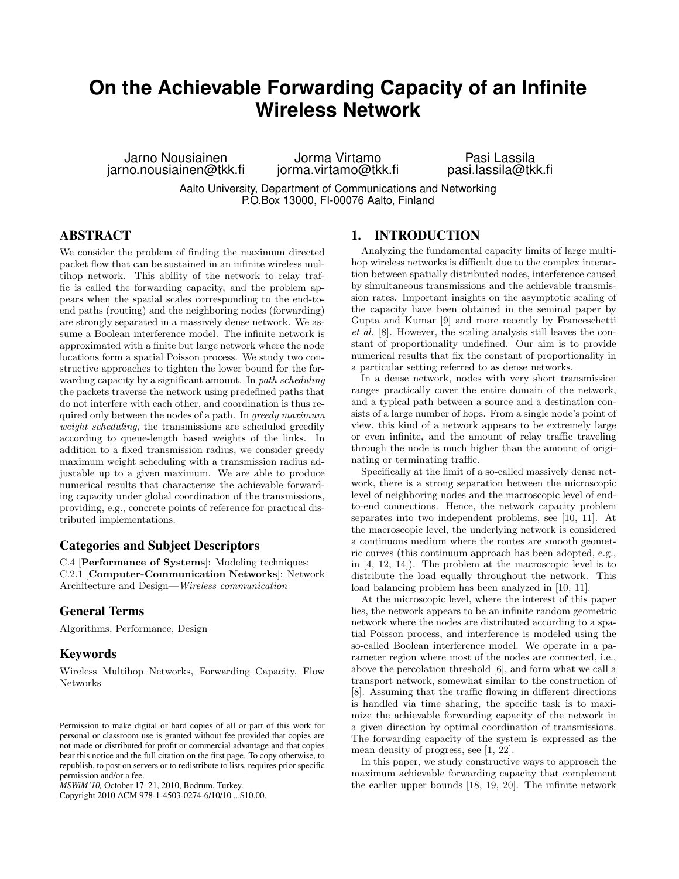# **On the Achievable Forwarding Capacity of an Infinite Wireless Network**

Jarno Nousiainen jarno.nousiainen@tkk.fi

Jorma Virtamo jorma.virtamo@tkk.fi

Pasi Lassila pasi.lassila@tkk.fi

Aalto University, Department of Communications and Networking P.O.Box 13000, FI-00076 Aalto, Finland

# **ABSTRACT**

We consider the problem of finding the maximum directed packet flow that can be sustained in an infinite wireless multihop network. This ability of the network to relay traffic is called the forwarding capacity, and the problem appears when the spatial scales corresponding to the end-toend paths (routing) and the neighboring nodes (forwarding) are strongly separated in a massively dense network. We assume a Boolean interference model. The infinite network is approximated with a finite but large network where the node locations form a spatial Poisson process. We study two constructive approaches to tighten the lower bound for the forwarding capacity by a significant amount. In *path scheduling* the packets traverse the network using predefined paths that do not interfere with each other, and coordination is thus required only between the nodes of a path. In *greedy maximum weight scheduling*, the transmissions are scheduled greedily according to queue-length based weights of the links. In addition to a fixed transmission radius, we consider greedy maximum weight scheduling with a transmission radius adjustable up to a given maximum. We are able to produce numerical results that characterize the achievable forwarding capacity under global coordination of the transmissions, providing, e.g., concrete points of reference for practical distributed implementations.

# **Categories and Subject Descriptors**

C.4 [Performance of Systems]: Modeling techniques; C.2.1 [Computer-Communication Networks]: Network Architecture and Design—*Wireless communication*

## **General Terms**

Algorithms, Performance, Design

## **Keywords**

Wireless Multihop Networks, Forwarding Capacity, Flow Networks

Copyright 2010 ACM 978-1-4503-0274-6/10/10 ...\$10.00.

# **1. INTRODUCTION**

Analyzing the fundamental capacity limits of large multihop wireless networks is difficult due to the complex interaction between spatially distributed nodes, interference caused by simultaneous transmissions and the achievable transmission rates. Important insights on the asymptotic scaling of the capacity have been obtained in the seminal paper by Gupta and Kumar [9] and more recently by Franceschetti *et al.* [8]. However, the scaling analysis still leaves the constant of proportionality undefined. Our aim is to provide numerical results that fix the constant of proportionality in a particular setting referred to as dense networks.

In a dense network, nodes with very short transmission ranges practically cover the entire domain of the network, and a typical path between a source and a destination consists of a large number of hops. From a single node's point of view, this kind of a network appears to be extremely large or even infinite, and the amount of relay traffic traveling through the node is much higher than the amount of originating or terminating traffic.

Specifically at the limit of a so-called massively dense network, there is a strong separation between the microscopic level of neighboring nodes and the macroscopic level of endto-end connections. Hence, the network capacity problem separates into two independent problems, see [10, 11]. At the macroscopic level, the underlying network is considered a continuous medium where the routes are smooth geometric curves (this continuum approach has been adopted, e.g., in [4, 12, 14]). The problem at the macroscopic level is to distribute the load equally throughout the network. This load balancing problem has been analyzed in [10, 11].

At the microscopic level, where the interest of this paper lies, the network appears to be an infinite random geometric network where the nodes are distributed according to a spatial Poisson process, and interference is modeled using the so-called Boolean interference model. We operate in a parameter region where most of the nodes are connected, i.e., above the percolation threshold [6], and form what we call a transport network, somewhat similar to the construction of [8]. Assuming that the traffic flowing in different directions is handled via time sharing, the specific task is to maximize the achievable forwarding capacity of the network in a given direction by optimal coordination of transmissions. The forwarding capacity of the system is expressed as the mean density of progress, see [1, 22].

In this paper, we study constructive ways to approach the maximum achievable forwarding capacity that complement the earlier upper bounds [18, 19, 20]. The infinite network

Permission to make digital or hard copies of all or part of this work for personal or classroom use is granted without fee provided that copies are not made or distributed for profit or commercial advantage and that copies bear this notice and the full citation on the first page. To copy otherwise, to republish, to post on servers or to redistribute to lists, requires prior specific permission and/or a fee.

*MSWiM'10,* October 17–21, 2010, Bodrum, Turkey.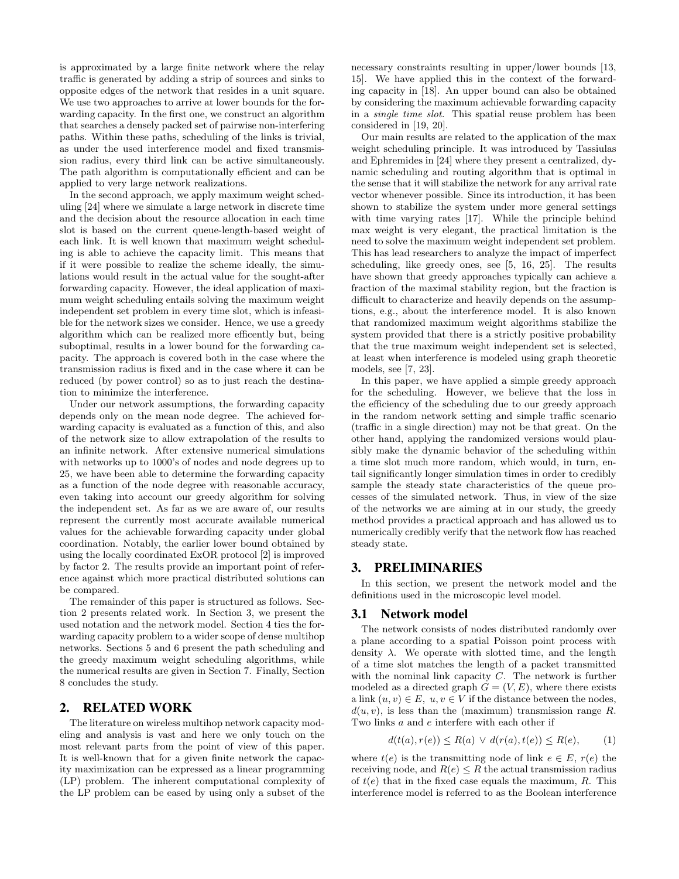is approximated by a large finite network where the relay traffic is generated by adding a strip of sources and sinks to opposite edges of the network that resides in a unit square. We use two approaches to arrive at lower bounds for the forwarding capacity. In the first one, we construct an algorithm that searches a densely packed set of pairwise non-interfering paths. Within these paths, scheduling of the links is trivial, as under the used interference model and fixed transmission radius, every third link can be active simultaneously. The path algorithm is computationally efficient and can be applied to very large network realizations.

In the second approach, we apply maximum weight scheduling [24] where we simulate a large network in discrete time and the decision about the resource allocation in each time slot is based on the current queue-length-based weight of each link. It is well known that maximum weight scheduling is able to achieve the capacity limit. This means that if it were possible to realize the scheme ideally, the simulations would result in the actual value for the sought-after forwarding capacity. However, the ideal application of maximum weight scheduling entails solving the maximum weight independent set problem in every time slot, which is infeasible for the network sizes we consider. Hence, we use a greedy algorithm which can be realized more efficently but, being suboptimal, results in a lower bound for the forwarding capacity. The approach is covered both in the case where the transmission radius is fixed and in the case where it can be reduced (by power control) so as to just reach the destination to minimize the interference.

Under our network assumptions, the forwarding capacity depends only on the mean node degree. The achieved forwarding capacity is evaluated as a function of this, and also of the network size to allow extrapolation of the results to an infinite network. After extensive numerical simulations with networks up to 1000's of nodes and node degrees up to 25, we have been able to determine the forwarding capacity as a function of the node degree with reasonable accuracy, even taking into account our greedy algorithm for solving the independent set. As far as we are aware of, our results represent the currently most accurate available numerical values for the achievable forwarding capacity under global coordination. Notably, the earlier lower bound obtained by using the locally coordinated ExOR protocol [2] is improved by factor 2. The results provide an important point of reference against which more practical distributed solutions can be compared.

The remainder of this paper is structured as follows. Section 2 presents related work. In Section 3, we present the used notation and the network model. Section 4 ties the forwarding capacity problem to a wider scope of dense multihop networks. Sections 5 and 6 present the path scheduling and the greedy maximum weight scheduling algorithms, while the numerical results are given in Section 7. Finally, Section 8 concludes the study.

# **2. RELATED WORK**

The literature on wireless multihop network capacity modeling and analysis is vast and here we only touch on the most relevant parts from the point of view of this paper. It is well-known that for a given finite network the capacity maximization can be expressed as a linear programming (LP) problem. The inherent computational complexity of the LP problem can be eased by using only a subset of the

necessary constraints resulting in upper/lower bounds [13, 15]. We have applied this in the context of the forwarding capacity in [18]. An upper bound can also be obtained by considering the maximum achievable forwarding capacity in a *single time slot*. This spatial reuse problem has been considered in [19, 20].

Our main results are related to the application of the max weight scheduling principle. It was introduced by Tassiulas and Ephremides in [24] where they present a centralized, dynamic scheduling and routing algorithm that is optimal in the sense that it will stabilize the network for any arrival rate vector whenever possible. Since its introduction, it has been shown to stabilize the system under more general settings with time varying rates [17]. While the principle behind max weight is very elegant, the practical limitation is the need to solve the maximum weight independent set problem. This has lead researchers to analyze the impact of imperfect scheduling, like greedy ones, see [5, 16, 25]. The results have shown that greedy approaches typically can achieve a fraction of the maximal stability region, but the fraction is difficult to characterize and heavily depends on the assumptions, e.g., about the interference model. It is also known that randomized maximum weight algorithms stabilize the system provided that there is a strictly positive probability that the true maximum weight independent set is selected, at least when interference is modeled using graph theoretic models, see [7, 23].

In this paper, we have applied a simple greedy approach for the scheduling. However, we believe that the loss in the efficiency of the scheduling due to our greedy approach in the random network setting and simple traffic scenario (traffic in a single direction) may not be that great. On the other hand, applying the randomized versions would plausibly make the dynamic behavior of the scheduling within a time slot much more random, which would, in turn, entail significantly longer simulation times in order to credibly sample the steady state characteristics of the queue processes of the simulated network. Thus, in view of the size of the networks we are aiming at in our study, the greedy method provides a practical approach and has allowed us to numerically credibly verify that the network flow has reached steady state.

## **3. PRELIMINARIES**

In this section, we present the network model and the definitions used in the microscopic level model.

## **3.1 Network model**

The network consists of nodes distributed randomly over a plane according to a spatial Poisson point process with density  $\lambda$ . We operate with slotted time, and the length of a time slot matches the length of a packet transmitted with the nominal link capacity C. The network is further modeled as a directed graph  $G = (V, E)$ , where there exists a link  $(u, v) \in E$ ,  $u, v \in V$  if the distance between the nodes,  $d(u, v)$ , is less than the (maximum) transmission range R. Two links a and e interfere with each other if

$$
d(t(a), r(e)) \le R(a) \lor d(r(a), t(e)) \le R(e), \qquad (1)
$$

where  $t(e)$  is the transmitting node of link  $e \in E$ ,  $r(e)$  the receiving node, and  $R(e) \leq R$  the actual transmission radius of  $t(e)$  that in the fixed case equals the maximum, R. This interference model is referred to as the Boolean interference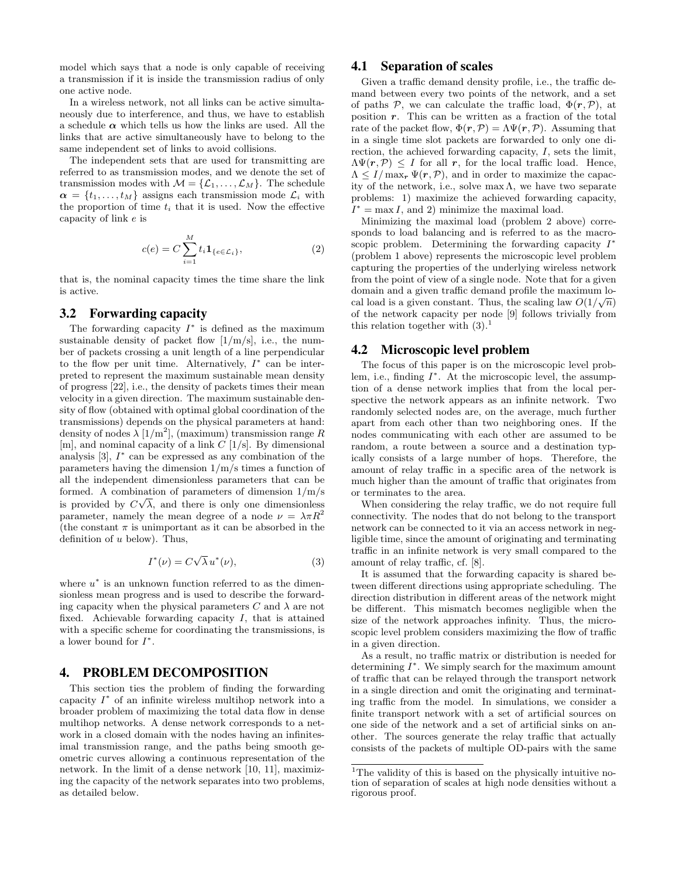model which says that a node is only capable of receiving a transmission if it is inside the transmission radius of only one active node.

In a wireless network, not all links can be active simultaneously due to interference, and thus, we have to establish a schedule  $\alpha$  which tells us how the links are used. All the links that are active simultaneously have to belong to the same independent set of links to avoid collisions.

The independent sets that are used for transmitting are referred to as transmission modes, and we denote the set of transmission modes with  $\mathcal{M} = {\mathcal{L}_1, \ldots, \mathcal{L}_M}$ . The schedule  $\alpha = \{t_1, \ldots, t_M\}$  assigns each transmission mode  $\mathcal{L}_i$  with the proportion of time  $t_i$  that it is used. Now the effective capacity of link e is

$$
c(e) = C \sum_{i=1}^{M} t_i \mathbf{1}_{\{e \in \mathcal{L}_i\}},\tag{2}
$$

that is, the nominal capacity times the time share the link is active.

## **3.2 Forwarding capacity**

The forwarding capacity  $I^*$  is defined as the maximum sustainable density of packet flow  $[1/m/s]$ , i.e., the number of packets crossing a unit length of a line perpendicular to the flow per unit time. Alternatively,  $I^*$  can be interpreted to represent the maximum sustainable mean density of progress [22], i.e., the density of packets times their mean velocity in a given direction. The maximum sustainable density of flow (obtained with optimal global coordination of the transmissions) depends on the physical parameters at hand: density of nodes  $\lambda$  [1/m<sup>2</sup>], (maximum) transmission range R [m], and nominal capacity of a link  $C$  [1/s]. By dimensional analysis  $[3]$ ,  $I^*$  can be expressed as any combination of the parameters having the dimension 1/m/s times a function of all the independent dimensionless parameters that can be formed. A combination of parameters of dimension  $1/m/s$ is provided by  $C\sqrt{\lambda}$ , and there is only one dimensionless parameter, namely the mean degree of a node  $\nu = \lambda \pi R^2$ (the constant  $\pi$  is unimportant as it can be absorbed in the definition of  $u$  below). Thus,

$$
I^*(\nu) = C\sqrt{\lambda} u^*(\nu), \tag{3}
$$

where  $u^*$  is an unknown function referred to as the dimensionless mean progress and is used to describe the forwarding capacity when the physical parameters C and  $\lambda$  are not fixed. Achievable forwarding capacity  $I$ , that is attained with a specific scheme for coordinating the transmissions, is a lower bound for  $I^*$ .

## **4. PROBLEM DECOMPOSITION**

This section ties the problem of finding the forwarding capacity  $I^*$  of an infinite wireless multihop network into a broader problem of maximizing the total data flow in dense multihop networks. A dense network corresponds to a network in a closed domain with the nodes having an infinitesimal transmission range, and the paths being smooth geometric curves allowing a continuous representation of the network. In the limit of a dense network [10, 11], maximizing the capacity of the network separates into two problems, as detailed below.

# **4.1 Separation of scales**

Given a traffic demand density profile, i.e., the traffic demand between every two points of the network, and a set of paths P, we can calculate the traffic load,  $\Phi(\mathbf{r}, \mathcal{P})$ , at position  $r$ . This can be written as a fraction of the total rate of the packet flow,  $\Phi(\mathbf{r}, \mathcal{P}) = \Lambda \Psi(\mathbf{r}, \mathcal{P})$ . Assuming that in a single time slot packets are forwarded to only one direction, the achieved forwarding capacity,  $I$ , sets the limit,  $\Lambda \Psi(r, \mathcal{P}) \leq I$  for all r, for the local traffic load. Hence,  $\Lambda \leq I/\max_{\mathbf{r}} \Psi(\mathbf{r}, \mathcal{P})$ , and in order to maximize the capacity of the network, i.e., solve max  $\Lambda$ , we have two separate problems: 1) maximize the achieved forwarding capacity,  $I^* = \max I$ , and 2) minimize the maximal load.

Minimizing the maximal load (problem 2 above) corresponds to load balancing and is referred to as the macroscopic problem. Determining the forwarding capacity  $I^*$ (problem 1 above) represents the microscopic level problem capturing the properties of the underlying wireless network from the point of view of a single node. Note that for a given domain and a given traffic demand profile the maximum local load is a given constant. Thus, the scaling law  $O(1/\sqrt{n})$ of the network capacity per node [9] follows trivially from this relation together with  $(3)$ .<sup>1</sup>

#### **4.2 Microscopic level problem**

The focus of this paper is on the microscopic level problem, i.e., finding  $I^*$ . At the microscopic level, the assumption of a dense network implies that from the local perspective the network appears as an infinite network. Two randomly selected nodes are, on the average, much further apart from each other than two neighboring ones. If the nodes communicating with each other are assumed to be random, a route between a source and a destination typically consists of a large number of hops. Therefore, the amount of relay traffic in a specific area of the network is much higher than the amount of traffic that originates from or terminates to the area.

When considering the relay traffic, we do not require full connectivity. The nodes that do not belong to the transport network can be connected to it via an access network in negligible time, since the amount of originating and terminating traffic in an infinite network is very small compared to the amount of relay traffic, cf. [8].

It is assumed that the forwarding capacity is shared between different directions using appropriate scheduling. The direction distribution in different areas of the network might be different. This mismatch becomes negligible when the size of the network approaches infinity. Thus, the microscopic level problem considers maximizing the flow of traffic in a given direction.

As a result, no traffic matrix or distribution is needed for determining  $I^*$ . We simply search for the maximum amount of traffic that can be relayed through the transport network in a single direction and omit the originating and terminating traffic from the model. In simulations, we consider a finite transport network with a set of artificial sources on one side of the network and a set of artificial sinks on another. The sources generate the relay traffic that actually consists of the packets of multiple OD-pairs with the same

 $1$ <sup>1</sup>The validity of this is based on the physically intuitive notion of separation of scales at high node densities without a rigorous proof.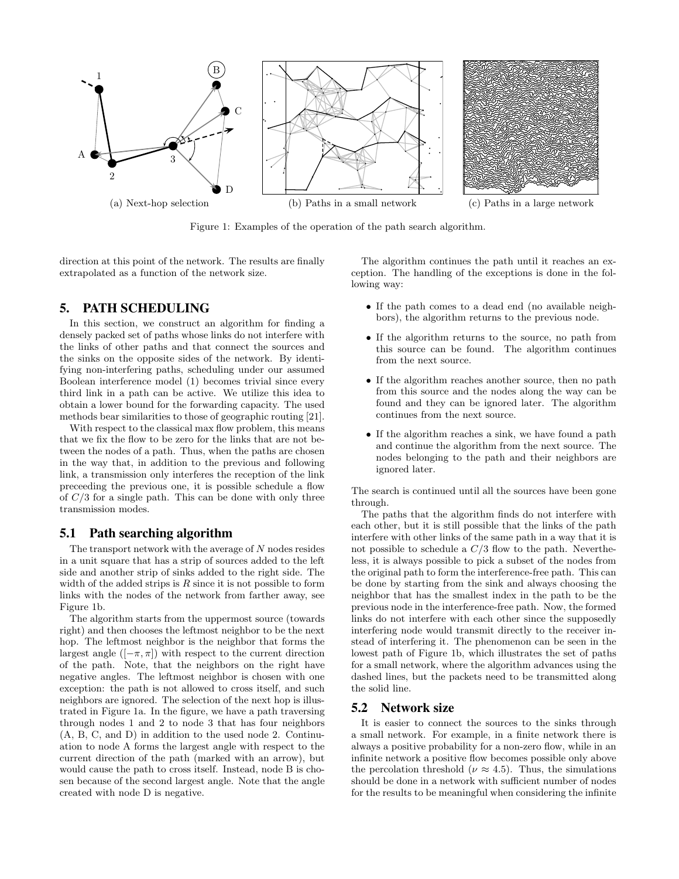

Figure 1: Examples of the operation of the path search algorithm.

direction at this point of the network. The results are finally extrapolated as a function of the network size.

# **5. PATH SCHEDULING**

In this section, we construct an algorithm for finding a densely packed set of paths whose links do not interfere with the links of other paths and that connect the sources and the sinks on the opposite sides of the network. By identifying non-interfering paths, scheduling under our assumed Boolean interference model (1) becomes trivial since every third link in a path can be active. We utilize this idea to obtain a lower bound for the forwarding capacity. The used methods bear similarities to those of geographic routing [21].

With respect to the classical max flow problem, this means that we fix the flow to be zero for the links that are not between the nodes of a path. Thus, when the paths are chosen in the way that, in addition to the previous and following link, a transmission only interferes the reception of the link preceeding the previous one, it is possible schedule a flow of  $C/3$  for a single path. This can be done with only three transmission modes.

# **5.1 Path searching algorithm**

The transport network with the average of  $N$  nodes resides in a unit square that has a strip of sources added to the left side and another strip of sinks added to the right side. The width of the added strips is  $R$  since it is not possible to form links with the nodes of the network from farther away, see Figure 1b.

The algorithm starts from the uppermost source (towards right) and then chooses the leftmost neighbor to be the next hop. The leftmost neighbor is the neighbor that forms the largest angle  $([-\pi, \pi])$  with respect to the current direction of the path. Note, that the neighbors on the right have negative angles. The leftmost neighbor is chosen with one exception: the path is not allowed to cross itself, and such neighbors are ignored. The selection of the next hop is illustrated in Figure 1a. In the figure, we have a path traversing through nodes 1 and 2 to node 3 that has four neighbors (A, B, C, and D) in addition to the used node 2. Continuation to node A forms the largest angle with respect to the current direction of the path (marked with an arrow), but would cause the path to cross itself. Instead, node B is chosen because of the second largest angle. Note that the angle created with node D is negative.

The algorithm continues the path until it reaches an exception. The handling of the exceptions is done in the following way:

- If the path comes to a dead end (no available neighbors), the algorithm returns to the previous node.
- If the algorithm returns to the source, no path from this source can be found. The algorithm continues from the next source.
- If the algorithm reaches another source, then no path from this source and the nodes along the way can be found and they can be ignored later. The algorithm continues from the next source.
- If the algorithm reaches a sink, we have found a path and continue the algorithm from the next source. The nodes belonging to the path and their neighbors are ignored later.

The search is continued until all the sources have been gone through.

The paths that the algorithm finds do not interfere with each other, but it is still possible that the links of the path interfere with other links of the same path in a way that it is not possible to schedule a  $C/3$  flow to the path. Nevertheless, it is always possible to pick a subset of the nodes from the original path to form the interference-free path. This can be done by starting from the sink and always choosing the neighbor that has the smallest index in the path to be the previous node in the interference-free path. Now, the formed links do not interfere with each other since the supposedly interfering node would transmit directly to the receiver instead of interfering it. The phenomenon can be seen in the lowest path of Figure 1b, which illustrates the set of paths for a small network, where the algorithm advances using the dashed lines, but the packets need to be transmitted along the solid line.

# **5.2 Network size**

It is easier to connect the sources to the sinks through a small network. For example, in a finite network there is always a positive probability for a non-zero flow, while in an infinite network a positive flow becomes possible only above the percolation threshold ( $\nu \approx 4.5$ ). Thus, the simulations should be done in a network with sufficient number of nodes for the results to be meaningful when considering the infinite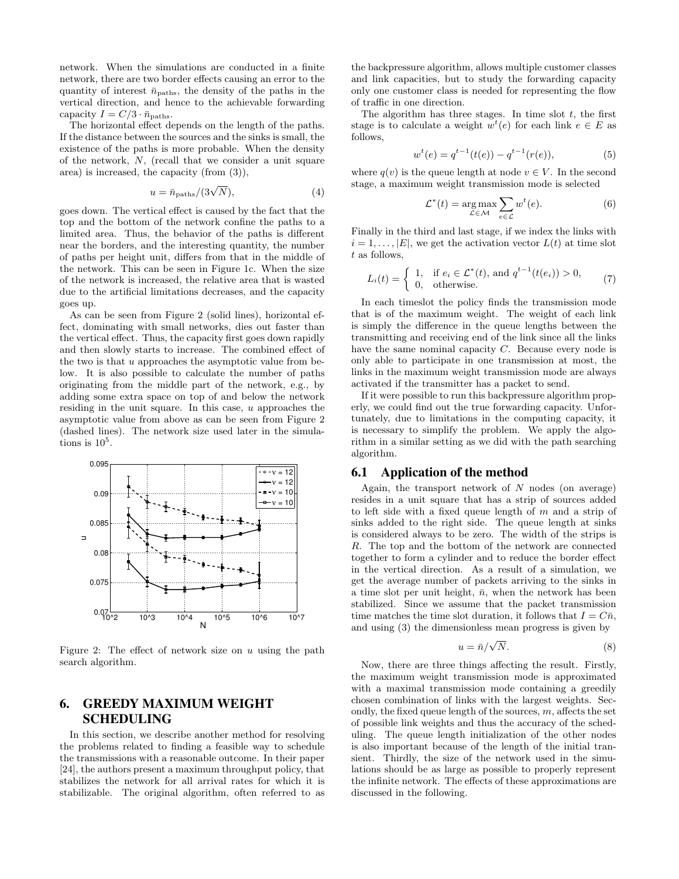network. When the simulations are conducted in a finite network, there are two border effects causing an error to the quantity of interest  $\bar{n}_{\text{paths}}$ , the density of the paths in the vertical direction, and hence to the achievable forwarding capacity  $I = C/3 \cdot \bar{n}_{\text{paths}}$ .

The horizontal effect depends on the length of the paths. If the distance between the sources and the sinks is small, the existence of the paths is more probable. When the density of the network, N, (recall that we consider a unit square area) is increased, the capacity (from (3)),

$$
u = \bar{n}_{\text{paths}} / (3\sqrt{N}),\tag{4}
$$

goes down. The vertical effect is caused by the fact that the top and the bottom of the network confine the paths to a limited area. Thus, the behavior of the paths is different near the borders, and the interesting quantity, the number of paths per height unit, differs from that in the middle of the network. This can be seen in Figure 1c. When the size of the network is increased, the relative area that is wasted due to the artificial limitations decreases, and the capacity goes up.

As can be seen from Figure 2 (solid lines), horizontal effect, dominating with small networks, dies out faster than the vertical effect. Thus, the capacity first goes down rapidly and then slowly starts to increase. The combined effect of the two is that  $u$  approaches the asymptotic value from below. It is also possible to calculate the number of paths originating from the middle part of the network, e.g., by adding some extra space on top of and below the network residing in the unit square. In this case,  $u$  approaches the asymptotic value from above as can be seen from Figure 2 (dashed lines). The network size used later in the simulations is  $10^5$ .



Figure 2: The effect of network size on  $u$  using the path search algorithm.

# **6. GREEDY MAXIMUM WEIGHT SCHEDULING**

In this section, we describe another method for resolving the problems related to finding a feasible way to schedule the transmissions with a reasonable outcome. In their paper [24], the authors present a maximum throughput policy, that stabilizes the network for all arrival rates for which it is stabilizable. The original algorithm, often referred to as the backpressure algorithm, allows multiple customer classes and link capacities, but to study the forwarding capacity only one customer class is needed for representing the flow of traffic in one direction.

The algorithm has three stages. In time slot  $t$ , the first stage is to calculate a weight  $w^{t}(e)$  for each link  $e \in E$  as follows,

$$
w^{t}(e) = q^{t-1}(t(e)) - q^{t-1}(r(e)),
$$
\n(5)

where  $q(v)$  is the queue length at node  $v \in V$ . In the second stage, a maximum weight transmission mode is selected

$$
\mathcal{L}^*(t) = \underset{\mathcal{L} \in \mathcal{M}}{\arg \max} \sum_{e \in \mathcal{L}} w^t(e). \tag{6}
$$

Finally in the third and last stage, if we index the links with  $i = 1, \ldots, |E|$ , we get the activation vector  $L(t)$  at time slot t as follows,

$$
L_i(t) = \begin{cases} 1, & \text{if } e_i \in \mathcal{L}^*(t), \text{ and } q^{t-1}(t(e_i)) > 0, \\ 0, & \text{otherwise.} \end{cases} \tag{7}
$$

In each timeslot the policy finds the transmission mode that is of the maximum weight. The weight of each link is simply the difference in the queue lengths between the transmitting and receiving end of the link since all the links have the same nominal capacity C. Because every node is only able to participate in one transmission at most, the links in the maximum weight transmission mode are always activated if the transmitter has a packet to send.

If it were possible to run this backpressure algorithm properly, we could find out the true forwarding capacity. Unfortunately, due to limitations in the computing capacity, it is necessary to simplify the problem. We apply the algorithm in a similar setting as we did with the path searching algorithm.

## **6.1 Application of the method**

Again, the transport network of  $N$  nodes (on average) resides in a unit square that has a strip of sources added to left side with a fixed queue length of m and a strip of sinks added to the right side. The queue length at sinks is considered always to be zero. The width of the strips is R. The top and the bottom of the network are connected together to form a cylinder and to reduce the border effect in the vertical direction. As a result of a simulation, we get the average number of packets arriving to the sinks in a time slot per unit height,  $\bar{n}$ , when the network has been stabilized. Since we assume that the packet transmission time matches the time slot duration, it follows that  $I = C\bar{n}$ , and using (3) the dimensionless mean progress is given by

$$
u = \bar{n}/\sqrt{N}.\tag{8}
$$

Now, there are three things affecting the result. Firstly, the maximum weight transmission mode is approximated with a maximal transmission mode containing a greedily chosen combination of links with the largest weights. Secondly, the fixed queue length of the sources,  $m$ , affects the set of possible link weights and thus the accuracy of the scheduling. The queue length initialization of the other nodes is also important because of the length of the initial transient. Thirdly, the size of the network used in the simulations should be as large as possible to properly represent the infinite network. The effects of these approximations are discussed in the following.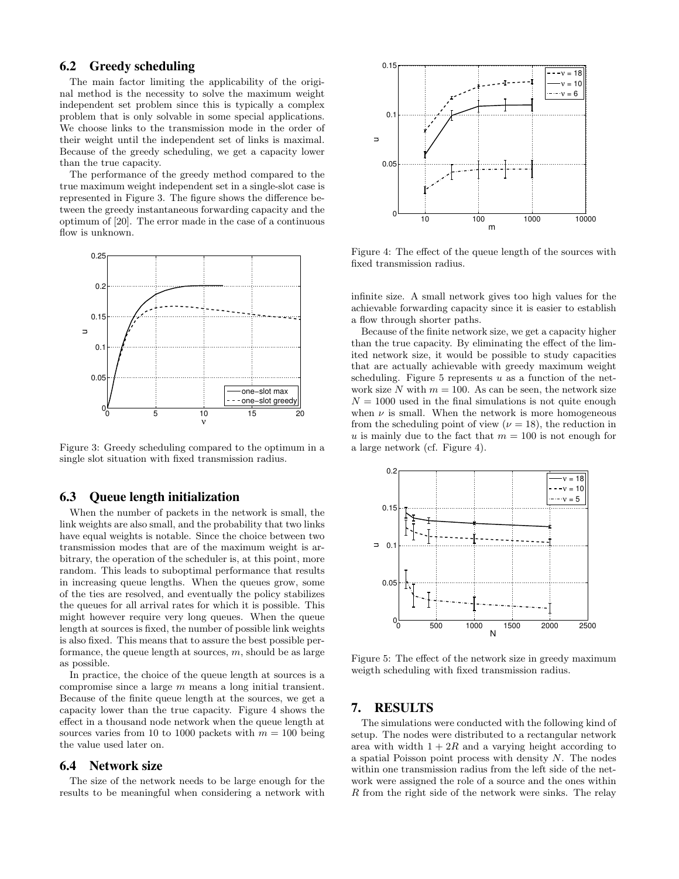# **6.2 Greedy scheduling**

The main factor limiting the applicability of the original method is the necessity to solve the maximum weight independent set problem since this is typically a complex problem that is only solvable in some special applications. We choose links to the transmission mode in the order of their weight until the independent set of links is maximal. Because of the greedy scheduling, we get a capacity lower than the true capacity.

The performance of the greedy method compared to the true maximum weight independent set in a single-slot case is represented in Figure 3. The figure shows the difference between the greedy instantaneous forwarding capacity and the optimum of [20]. The error made in the case of a continuous flow is unknown.



Figure 3: Greedy scheduling compared to the optimum in a single slot situation with fixed transmission radius.

#### **6.3 Queue length initialization**

When the number of packets in the network is small, the link weights are also small, and the probability that two links have equal weights is notable. Since the choice between two transmission modes that are of the maximum weight is arbitrary, the operation of the scheduler is, at this point, more random. This leads to suboptimal performance that results in increasing queue lengths. When the queues grow, some of the ties are resolved, and eventually the policy stabilizes the queues for all arrival rates for which it is possible. This might however require very long queues. When the queue length at sources is fixed, the number of possible link weights is also fixed. This means that to assure the best possible performance, the queue length at sources,  $m$ , should be as large as possible.

In practice, the choice of the queue length at sources is a compromise since a large m means a long initial transient. Because of the finite queue length at the sources, we get a capacity lower than the true capacity. Figure 4 shows the effect in a thousand node network when the queue length at sources varies from 10 to 1000 packets with  $m = 100$  being the value used later on.

# **6.4 Network size**

The size of the network needs to be large enough for the results to be meaningful when considering a network with



Figure 4: The effect of the queue length of the sources with fixed transmission radius.

infinite size. A small network gives too high values for the achievable forwarding capacity since it is easier to establish a flow through shorter paths.

Because of the finite network size, we get a capacity higher than the true capacity. By eliminating the effect of the limited network size, it would be possible to study capacities that are actually achievable with greedy maximum weight scheduling. Figure 5 represents  $u$  as a function of the network size N with  $m = 100$ . As can be seen, the network size  $N = 1000$  used in the final simulations is not quite enough when  $\nu$  is small. When the network is more homogeneous from the scheduling point of view ( $\nu = 18$ ), the reduction in u is mainly due to the fact that  $m = 100$  is not enough for a large network (cf. Figure 4).



Figure 5: The effect of the network size in greedy maximum weigth scheduling with fixed transmission radius.

# **7. RESULTS**

The simulations were conducted with the following kind of setup. The nodes were distributed to a rectangular network area with width  $1 + 2R$  and a varying height according to a spatial Poisson point process with density  $N$ . The nodes within one transmission radius from the left side of the network were assigned the role of a source and the ones within R from the right side of the network were sinks. The relay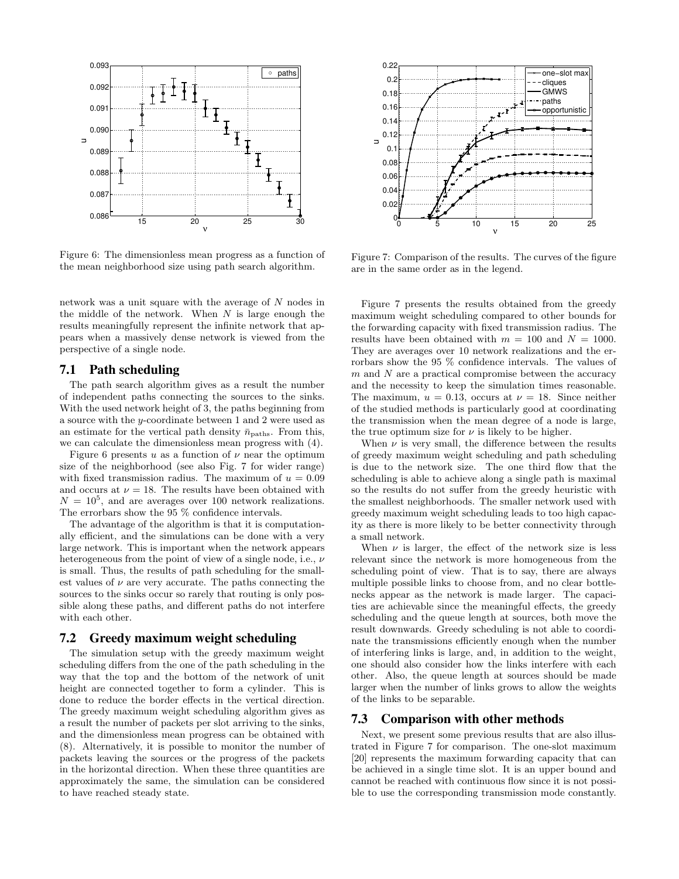

Figure 6: The dimensionless mean progress as a function of the mean neighborhood size using path search algorithm.

network was a unit square with the average of N nodes in the middle of the network. When  $N$  is large enough the results meaningfully represent the infinite network that appears when a massively dense network is viewed from the perspective of a single node.

# **7.1 Path scheduling**

The path search algorithm gives as a result the number of independent paths connecting the sources to the sinks. With the used network height of 3, the paths beginning from a source with the y-coordinate between 1 and 2 were used as an estimate for the vertical path density  $\bar{n}_{\text{paths}}.$  From this, we can calculate the dimensionless mean progress with (4).

Figure 6 presents u as a function of  $\nu$  near the optimum size of the neighborhood (see also Fig. 7 for wider range) with fixed transmission radius. The maximum of  $u = 0.09$ and occurs at  $\nu = 18$ . The results have been obtained with  $N = 10<sup>5</sup>$ , and are averages over 100 network realizations. The errorbars show the 95 % confidence intervals.

The advantage of the algorithm is that it is computationally efficient, and the simulations can be done with a very large network. This is important when the network appears heterogeneous from the point of view of a single node, i.e., ν is small. Thus, the results of path scheduling for the smallest values of  $\nu$  are very accurate. The paths connecting the sources to the sinks occur so rarely that routing is only possible along these paths, and different paths do not interfere with each other.

#### **7.2 Greedy maximum weight scheduling**

The simulation setup with the greedy maximum weight scheduling differs from the one of the path scheduling in the way that the top and the bottom of the network of unit height are connected together to form a cylinder. This is done to reduce the border effects in the vertical direction. The greedy maximum weight scheduling algorithm gives as a result the number of packets per slot arriving to the sinks, and the dimensionless mean progress can be obtained with (8). Alternatively, it is possible to monitor the number of packets leaving the sources or the progress of the packets in the horizontal direction. When these three quantities are approximately the same, the simulation can be considered to have reached steady state.



Figure 7: Comparison of the results. The curves of the figure are in the same order as in the legend.

Figure 7 presents the results obtained from the greedy maximum weight scheduling compared to other bounds for the forwarding capacity with fixed transmission radius. The results have been obtained with  $m = 100$  and  $N = 1000$ . They are averages over 10 network realizations and the errorbars show the 95 % confidence intervals. The values of m and N are a practical compromise between the accuracy and the necessity to keep the simulation times reasonable. The maximum,  $u = 0.13$ , occurs at  $\nu = 18$ . Since neither of the studied methods is particularly good at coordinating the transmission when the mean degree of a node is large, the true optimum size for  $\nu$  is likely to be higher.

When  $\nu$  is very small, the difference between the results of greedy maximum weight scheduling and path scheduling is due to the network size. The one third flow that the scheduling is able to achieve along a single path is maximal so the results do not suffer from the greedy heuristic with the smallest neighborhoods. The smaller network used with greedy maximum weight scheduling leads to too high capacity as there is more likely to be better connectivity through a small network.

When  $\nu$  is larger, the effect of the network size is less relevant since the network is more homogeneous from the scheduling point of view. That is to say, there are always multiple possible links to choose from, and no clear bottlenecks appear as the network is made larger. The capacities are achievable since the meaningful effects, the greedy scheduling and the queue length at sources, both move the result downwards. Greedy scheduling is not able to coordinate the transmissions efficiently enough when the number of interfering links is large, and, in addition to the weight, one should also consider how the links interfere with each other. Also, the queue length at sources should be made larger when the number of links grows to allow the weights of the links to be separable.

## **7.3 Comparison with other methods**

Next, we present some previous results that are also illustrated in Figure 7 for comparison. The one-slot maximum [20] represents the maximum forwarding capacity that can be achieved in a single time slot. It is an upper bound and cannot be reached with continuous flow since it is not possible to use the corresponding transmission mode constantly.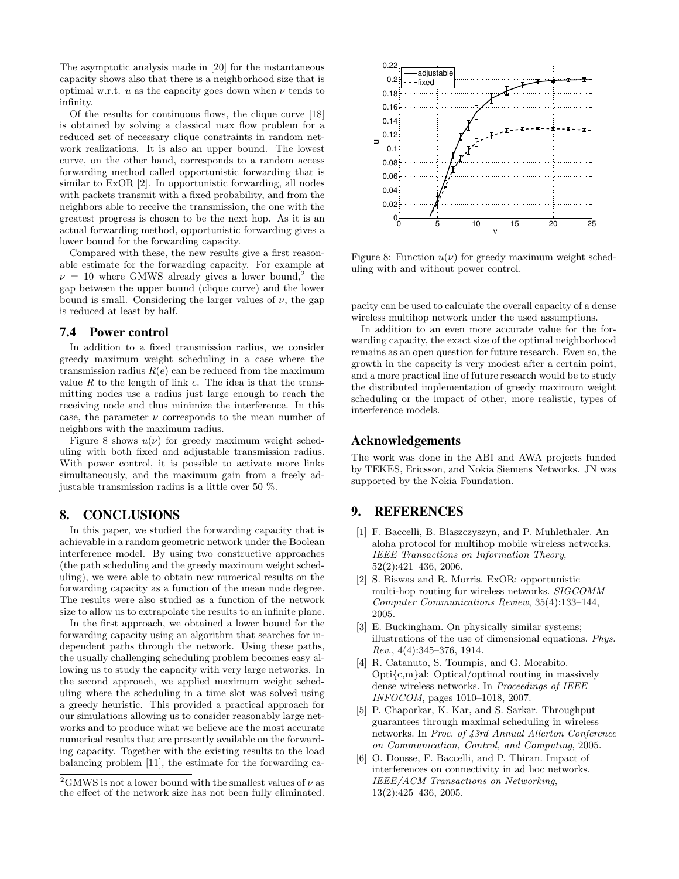The asymptotic analysis made in [20] for the instantaneous capacity shows also that there is a neighborhood size that is optimal w.r.t.  $u$  as the capacity goes down when  $\nu$  tends to infinity.

Of the results for continuous flows, the clique curve [18] is obtained by solving a classical max flow problem for a reduced set of necessary clique constraints in random network realizations. It is also an upper bound. The lowest curve, on the other hand, corresponds to a random access forwarding method called opportunistic forwarding that is similar to ExOR [2]. In opportunistic forwarding, all nodes with packets transmit with a fixed probability, and from the neighbors able to receive the transmission, the one with the greatest progress is chosen to be the next hop. As it is an actual forwarding method, opportunistic forwarding gives a lower bound for the forwarding capacity.

Compared with these, the new results give a first reasonable estimate for the forwarding capacity. For example at  $\nu = 10$  where GMWS already gives a lower bound,<sup>2</sup> the gap between the upper bound (clique curve) and the lower bound is small. Considering the larger values of  $\nu$ , the gap is reduced at least by half.

## **7.4 Power control**

In addition to a fixed transmission radius, we consider greedy maximum weight scheduling in a case where the transmission radius  $R(e)$  can be reduced from the maximum value  $R$  to the length of link  $e$ . The idea is that the transmitting nodes use a radius just large enough to reach the receiving node and thus minimize the interference. In this case, the parameter  $\nu$  corresponds to the mean number of neighbors with the maximum radius.

Figure 8 shows  $u(\nu)$  for greedy maximum weight scheduling with both fixed and adjustable transmission radius. With power control, it is possible to activate more links simultaneously, and the maximum gain from a freely adjustable transmission radius is a little over 50 %.

## **8. CONCLUSIONS**

In this paper, we studied the forwarding capacity that is achievable in a random geometric network under the Boolean interference model. By using two constructive approaches (the path scheduling and the greedy maximum weight scheduling), we were able to obtain new numerical results on the forwarding capacity as a function of the mean node degree. The results were also studied as a function of the network size to allow us to extrapolate the results to an infinite plane.

In the first approach, we obtained a lower bound for the forwarding capacity using an algorithm that searches for independent paths through the network. Using these paths, the usually challenging scheduling problem becomes easy allowing us to study the capacity with very large networks. In the second approach, we applied maximum weight scheduling where the scheduling in a time slot was solved using a greedy heuristic. This provided a practical approach for our simulations allowing us to consider reasonably large networks and to produce what we believe are the most accurate numerical results that are presently available on the forwarding capacity. Together with the existing results to the load balancing problem [11], the estimate for the forwarding ca-



Figure 8: Function  $u(\nu)$  for greedy maximum weight scheduling with and without power control.

pacity can be used to calculate the overall capacity of a dense wireless multihop network under the used assumptions.

In addition to an even more accurate value for the forwarding capacity, the exact size of the optimal neighborhood remains as an open question for future research. Even so, the growth in the capacity is very modest after a certain point, and a more practical line of future research would be to study the distributed implementation of greedy maximum weight scheduling or the impact of other, more realistic, types of interference models.

#### **Acknowledgements**

The work was done in the ABI and AWA projects funded by TEKES, Ericsson, and Nokia Siemens Networks. JN was supported by the Nokia Foundation.

# **9. REFERENCES**

- [1] F. Baccelli, B. Blaszczyszyn, and P. Muhlethaler. An aloha protocol for multihop mobile wireless networks. *IEEE Transactions on Information Theory*, 52(2):421–436, 2006.
- [2] S. Biswas and R. Morris. ExOR: opportunistic multi-hop routing for wireless networks. *SIGCOMM Computer Communications Review*, 35(4):133–144, 2005.
- [3] E. Buckingham. On physically similar systems; illustrations of the use of dimensional equations. *Phys. Rev.*, 4(4):345–376, 1914.
- [4] R. Catanuto, S. Toumpis, and G. Morabito. Opti{c,m}al: Optical/optimal routing in massively dense wireless networks. In *Proceedings of IEEE INFOCOM*, pages 1010–1018, 2007.
- [5] P. Chaporkar, K. Kar, and S. Sarkar. Throughput guarantees through maximal scheduling in wireless networks. In *Proc. of 43rd Annual Allerton Conference on Communication, Control, and Computing*, 2005.
- [6] O. Dousse, F. Baccelli, and P. Thiran. Impact of interferences on connectivity in ad hoc networks. *IEEE/ACM Transactions on Networking*, 13(2):425–436, 2005.

<sup>&</sup>lt;sup>2</sup>GMWS is not a lower bound with the smallest values of  $\nu$  as the effect of the network size has not been fully eliminated.